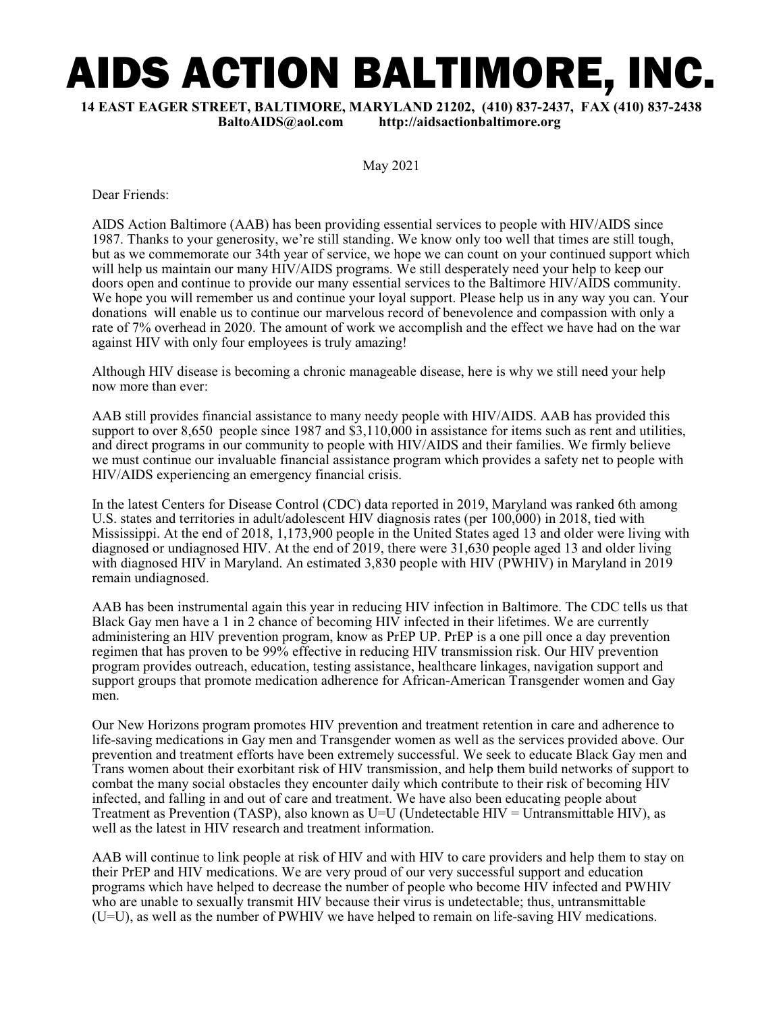## AIDS ACTION BALTIMORE, INC.

**14 EAST EAGER STREET, BALTIMORE, MARYLAND 21202, (410) 837-2437, FAX (410) 837-2438 BaltoAIDS@aol.com http://aidsactionbaltimore.org** 

May 2021

Dear Friends:

AIDS Action Baltimore (AAB) has been providing essential services to people with HIV/AIDS since 1987. Thanks to your generosity, we're still standing. We know only too well that times are still tough, but as we commemorate our 34th year of service, we hope we can count on your continued support which will help us maintain our many HIV/AIDS programs. We still desperately need your help to keep our doors open and continue to provide our many essential services to the Baltimore HIV/AIDS community. We hope you will remember us and continue your loyal support. Please help us in any way you can. Your donations will enable us to continue our marvelous record of benevolence and compassion with only a rate of 7% overhead in 2020. The amount of work we accomplish and the effect we have had on the war against HIV with only four employees is truly amazing!

Although HIV disease is becoming a chronic manageable disease, here is why we still need your help now more than ever:

AAB still provides financial assistance to many needy people with HIV/AIDS. AAB has provided this support to over 8,650 people since 1987 and \$3,110,000 in assistance for items such as rent and utilities, and direct programs in our community to people with HIV/AIDS and their families. We firmly believe we must continue our invaluable financial assistance program which provides a safety net to people with HIV/AIDS experiencing an emergency financial crisis.

In the latest Centers for Disease Control (CDC) data reported in 2019, Maryland was ranked 6th among U.S. states and territories in adult/adolescent HIV diagnosis rates (per 100,000) in 2018, tied with Mississippi. At the end of 2018, 1,173,900 people in the United States aged 13 and older were living with diagnosed or undiagnosed HIV. At the end of 2019, there were 31,630 people aged 13 and older living with diagnosed HIV in Maryland. An estimated 3,830 people with HIV (PWHIV) in Maryland in 2019 remain undiagnosed.

AAB has been instrumental again this year in reducing HIV infection in Baltimore. The CDC tells us that Black Gay men have a 1 in 2 chance of becoming HIV infected in their lifetimes. We are currently administering an HIV prevention program, know as PrEP UP. PrEP is a one pill once a day prevention regimen that has proven to be 99% effective in reducing HIV transmission risk. Our HIV prevention program provides outreach, education, testing assistance, healthcare linkages, navigation support and support groups that promote medication adherence for African-American Transgender women and Gay men.

Our New Horizons program promotes HIV prevention and treatment retention in care and adherence to life-saving medications in Gay men and Transgender women as well as the services provided above. Our prevention and treatment efforts have been extremely successful. We seek to educate Black Gay men and Trans women about their exorbitant risk of HIV transmission, and help them build networks of support to combat the many social obstacles they encounter daily which contribute to their risk of becoming HIV infected, and falling in and out of care and treatment. We have also been educating people about Treatment as Prevention (TASP), also known as U=U (Undetectable HIV = Untransmittable HIV), as well as the latest in HIV research and treatment information.

AAB will continue to link people at risk of HIV and with HIV to care providers and help them to stay on their PrEP and HIV medications. We are very proud of our very successful support and education programs which have helped to decrease the number of people who become HIV infected and PWHIV who are unable to sexually transmit HIV because their virus is undetectable; thus, untransmittable (U=U), as well as the number of PWHIV we have helped to remain on life-saving HIV medications.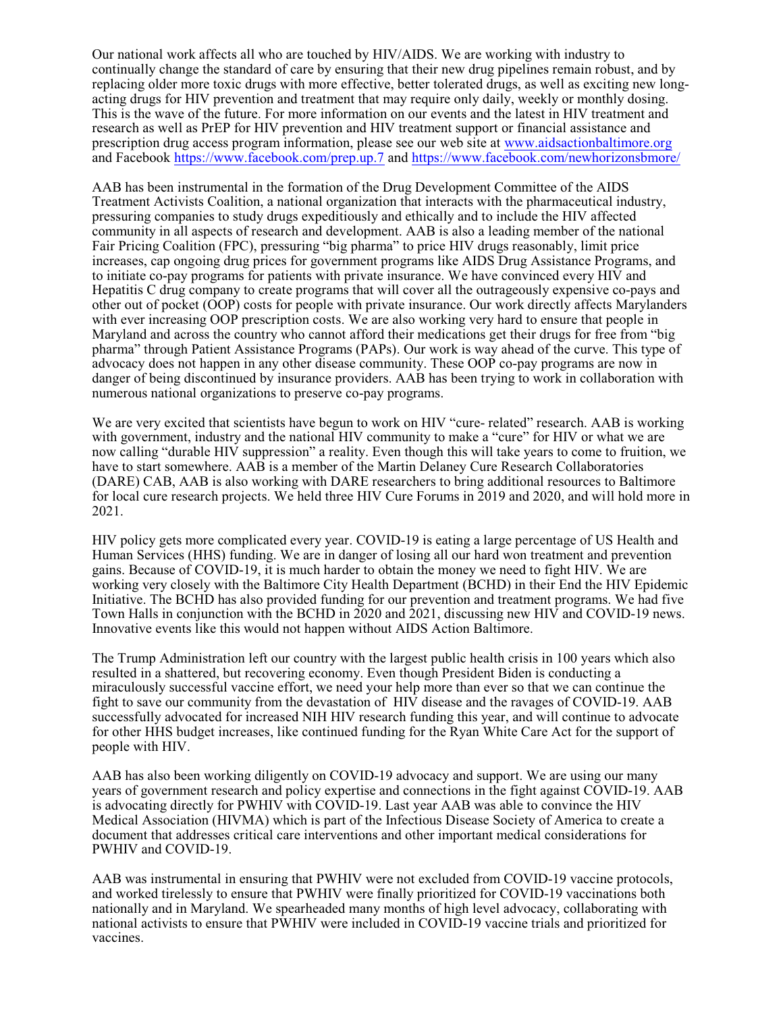Our national work affects all who are touched by HIV/AIDS. We are working with industry to continually change the standard of care by ensuring that their new drug pipelines remain robust, and by replacing older more toxic drugs with more effective, better tolerated drugs, as well as exciting new longacting drugs for HIV prevention and treatment that may require only daily, weekly or monthly dosing. This is the wave of the future. For more information on our events and the latest in HIV treatment and research as well as PrEP for HIV prevention and HIV treatment support or financial assistance and prescription drug access program information, please see our web site at [www.aidsactionbaltimore.org](http://www.aidsactionbaltimore.org) and Facebook <https://www.facebook.com/prep.up.7> and<https://www.facebook.com/newhorizonsbmore/>

AAB has been instrumental in the formation of the Drug Development Committee of the AIDS Treatment Activists Coalition, a national organization that interacts with the pharmaceutical industry, pressuring companies to study drugs expeditiously and ethically and to include the HIV affected community in all aspects of research and development. AAB is also a leading member of the national Fair Pricing Coalition (FPC), pressuring "big pharma" to price HIV drugs reasonably, limit price increases, cap ongoing drug prices for government programs like AIDS Drug Assistance Programs, and to initiate co-pay programs for patients with private insurance. We have convinced every HIV and Hepatitis C drug company to create programs that will cover all the outrageously expensive co-pays and other out of pocket (OOP) costs for people with private insurance. Our work directly affects Marylanders with ever increasing OOP prescription costs. We are also working very hard to ensure that people in Maryland and across the country who cannot afford their medications get their drugs for free from "big pharma" through Patient Assistance Programs (PAPs). Our work is way ahead of the curve. This type of advocacy does not happen in any other disease community. These OOP co-pay programs are now in danger of being discontinued by insurance providers. AAB has been trying to work in collaboration with numerous national organizations to preserve co-pay programs.

We are very excited that scientists have begun to work on HIV "cure- related" research. AAB is working with government, industry and the national HIV community to make a "cure" for HIV or what we are now calling "durable HIV suppression" a reality. Even though this will take years to come to fruition, we have to start somewhere. AAB is a member of the Martin Delaney Cure Research Collaboratories (DARE) CAB, AAB is also working with DARE researchers to bring additional resources to Baltimore for local cure research projects. We held three HIV Cure Forums in 2019 and 2020, and will hold more in 2021.

HIV policy gets more complicated every year. COVID-19 is eating a large percentage of US Health and Human Services (HHS) funding. We are in danger of losing all our hard won treatment and prevention gains. Because of COVID-19, it is much harder to obtain the money we need to fight HIV. We are working very closely with the Baltimore City Health Department (BCHD) in their End the HIV Epidemic Initiative. The BCHD has also provided funding for our prevention and treatment programs. We had five Town Halls in conjunction with the BCHD in 2020 and 2021, discussing new HIV and COVID-19 news. Innovative events like this would not happen without AIDS Action Baltimore.

The Trump Administration left our country with the largest public health crisis in 100 years which also resulted in a shattered, but recovering economy. Even though President Biden is conducting a miraculously successful vaccine effort, we need your help more than ever so that we can continue the fight to save our community from the devastation of HIV disease and the ravages of COVID-19. AAB successfully advocated for increased NIH HIV research funding this year, and will continue to advocate for other HHS budget increases, like continued funding for the Ryan White Care Act for the support of people with HIV.

AAB has also been working diligently on COVID-19 advocacy and support. We are using our many years of government research and policy expertise and connections in the fight against COVID-19. AAB is advocating directly for PWHIV with COVID-19. Last year AAB was able to convince the HIV Medical Association (HIVMA) which is part of the Infectious Disease Society of America to create a document that addresses critical care interventions and other important medical considerations for PWHIV and COVID-19.

AAB was instrumental in ensuring that PWHIV were not excluded from COVID-19 vaccine protocols, and worked tirelessly to ensure that PWHIV were finally prioritized for COVID-19 vaccinations both nationally and in Maryland. We spearheaded many months of high level advocacy, collaborating with national activists to ensure that PWHIV were included in COVID-19 vaccine trials and prioritized for vaccines.